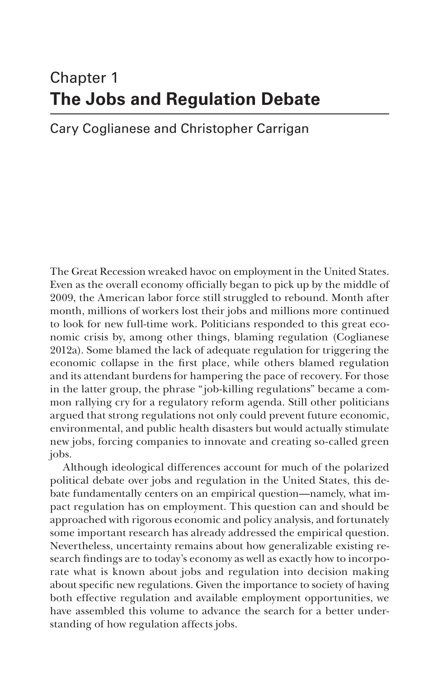# Chapter 1 **The Jobs and Regulation Debate**

# Cary Coglianese and Christopher Carrigan

The Great Recession wreaked havoc on employment in the United States. Even as the overall economy officially began to pick up by the middle of 2009, the American labor force still struggled to rebound. Month after month, millions of workers lost their jobs and millions more continued to look for new full-time work. Politicians responded to this great economic crisis by, among other things, blaming regulation (Coglianese 2012a). Some blamed the lack of adequate regulation for triggering the economic collapse in the first place, while others blamed regulation and its attendant burdens for hampering the pace of recovery. For those in the latter group, the phrase "job- killing regulations" became a common rallying cry for a regulatory reform agenda. Still other politicians argued that strong regulations not only could prevent future economic, environmental, and public health disasters but would actually stimulate new jobs, forcing companies to innovate and creating so- called green jobs.

Although ideological differences account for much of the polarized political debate over jobs and regulation in the United States, this debate fundamentally centers on an empirical question— namely, what impact regulation has on employment. This question can and should be approached with rigorous economic and policy analysis, and fortunately some important research has already addressed the empirical question. Nevertheless, uncertainty remains about how generalizable existing research findings are to today's economy as well as exactly how to incorporate what is known about jobs and regulation into decision making about specific new regulations. Given the importance to society of having both effective regulation and available employment opportunities, we have assembled this volume to advance the search for a better understanding of how regulation affects jobs.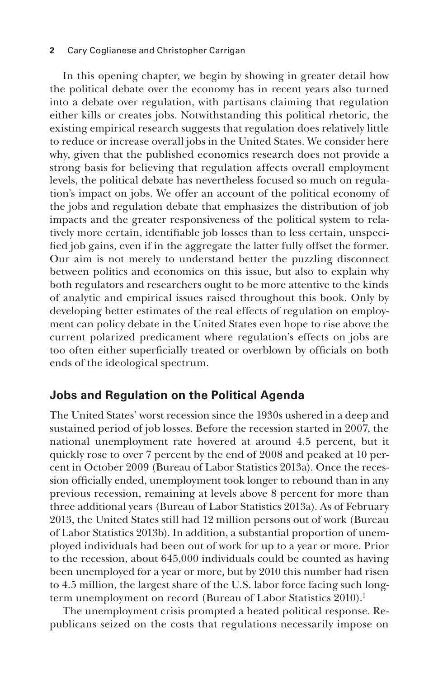#### **2** Cary Coglianese and Christopher Carrigan

In this opening chapter, we begin by showing in greater detail how the political debate over the economy has in recent years also turned into a debate over regulation, with partisans claiming that regulation either kills or creates jobs. Notwithstanding this political rhetoric, the existing empirical research suggests that regulation does relatively little to reduce or increase overall jobs in the United States. We consider here why, given that the published economics research does not provide a strong basis for believing that regulation affects overall employment levels, the political debate has nevertheless focused so much on regulation's impact on jobs. We offer an account of the political economy of the jobs and regulation debate that emphasizes the distribution of job impacts and the greater responsiveness of the political system to relatively more certain, identifiable job losses than to less certain, unspecified job gains, even if in the aggregate the latter fully offset the former. Our aim is not merely to understand better the puzzling disconnect between politics and economics on this issue, but also to explain why both regulators and researchers ought to be more attentive to the kinds of analytic and empirical issues raised throughout this book. Only by developing better estimates of the real effects of regulation on employment can policy debate in the United States even hope to rise above the current polarized predicament where regulation's effects on jobs are too often either superficially treated or overblown by officials on both ends of the ideological spectrum.

#### **Jobs and Regulation on the Political Agenda**

The United States' worst recession since the 1930s ushered in a deep and sustained period of job losses. Before the recession started in 2007, the national unemployment rate hovered at around 4.5 percent, but it quickly rose to over 7 percent by the end of 2008 and peaked at 10 percent in October 2009 (Bureau of Labor Statistics 2013a). Once the recession officially ended, unemployment took longer to rebound than in any previous recession, remaining at levels above 8 percent for more than three additional years (Bureau of Labor Statistics 2013a). As of February 2013, the United States still had 12 million persons out of work (Bureau of Labor Statistics 2013b). In addition, a substantial proportion of unemployed individuals had been out of work for up to a year or more. Prior to the recession, about 645,000 individuals could be counted as having been unemployed for a year or more, but by 2010 this number had risen to 4.5 million, the largest share of the U.S. labor force facing such longterm unemployment on record (Bureau of Labor Statistics 2010).<sup>1</sup>

The unemployment crisis prompted a heated political response. Republicans seized on the costs that regulations necessarily impose on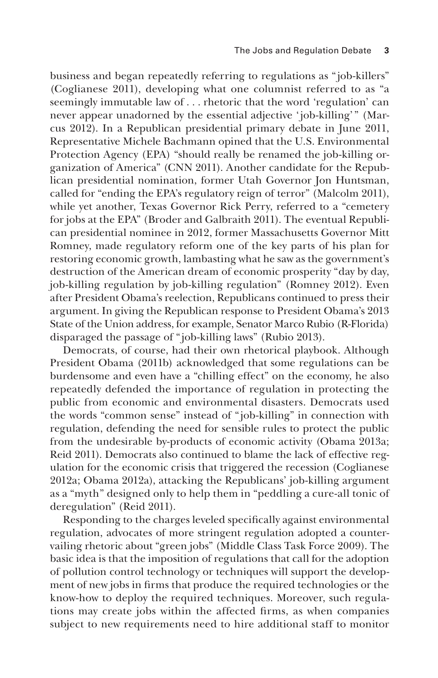business and began repeatedly referring to regulations as "job-killers" (Coglianese 2011), developing what one columnist referred to as "a seemingly immutable law of . . . rhetoric that the word 'regulation' can never appear unadorned by the essential adjective 'job-killing'" (Marcus 2012). In a Republican presidential primary debate in June 2011, Representative Michele Bachmann opined that the U.S. Environmental Protection Agency (EPA) "should really be renamed the job-killing organization of America" (CNN 2011). Another candidate for the Republican presidential nomination, former Utah Governor Jon Huntsman, called for "ending the EPA's regulatory reign of terror" (Malcolm 2011), while yet another, Texas Governor Rick Perry, referred to a "cemetery for jobs at the EPA" (Broder and Galbraith 2011). The eventual Republican presidential nominee in 2012, former Massachusetts Governor Mitt Romney, made regulatory reform one of the key parts of his plan for restoring economic growth, lambasting what he saw as the government's destruction of the American dream of economic prosperity "day by day, job-killing regulation by job-killing regulation" (Romney 2012). Even after President Obama's reelection, Republicans continued to press their argument. In giving the Republican response to President Obama's 2013 State of the Union address, for example, Senator Marco Rubio (R-Florida) disparaged the passage of "job-killing laws" (Rubio 2013).

Democrats, of course, had their own rhetorical playbook. Although President Obama (2011b) acknowledged that some regulations can be burdensome and even have a "chilling effect" on the economy, he also repeatedly defended the importance of regulation in protecting the public from economic and environmental disasters. Democrats used the words "common sense" instead of "job-killing" in connection with regulation, defending the need for sensible rules to protect the public from the undesirable by-products of economic activity (Obama 2013a; Reid 2011). Democrats also continued to blame the lack of effective regulation for the economic crisis that triggered the recession (Coglianese 2012a; Obama 2012a), attacking the Republicans' job-killing argument as a "myth" designed only to help them in "peddling a cure-all tonic of deregulation" (Reid 2011).

Responding to the charges leveled specifically against environmental regulation, advocates of more stringent regulation adopted a countervailing rhetoric about "green jobs" (Middle Class Task Force 2009). The basic idea is that the imposition of regulations that call for the adoption of pollution control technology or techniques will support the development of new jobs in firms that produce the required technologies or the know-how to deploy the required techniques. Moreover, such regulations may create jobs within the affected firms, as when companies subject to new requirements need to hire additional staff to monitor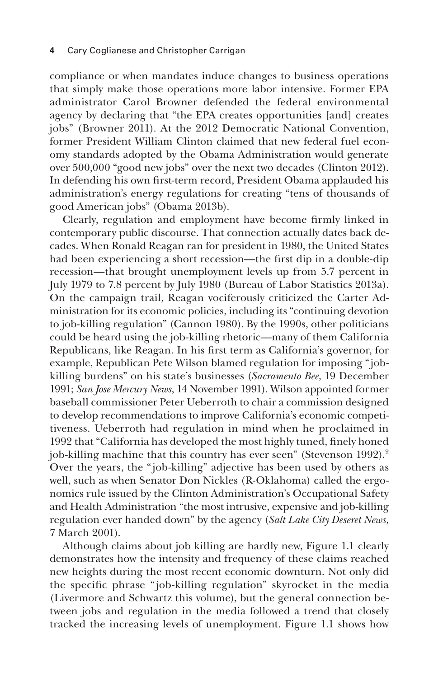compliance or when mandates induce changes to business operations that simply make those operations more labor intensive. Former EPA administrator Carol Browner defended the federal environmental agency by declaring that "the EPA creates opportunities [and] creates jobs" (Browner 2011). At the 2012 Democratic National Convention, former President William Clinton claimed that new federal fuel economy standards adopted by the Obama Administration would generate over 500,000 "good new jobs" over the next two decades (Clinton 2012). In defending his own first-term record, President Obama applauded his administration's energy regulations for creating "tens of thousands of good American jobs" (Obama 2013b).

Clearly, regulation and employment have become firmly linked in contemporary public discourse. That connection actually dates back decades. When Ronald Reagan ran for president in 1980, the United States had been experiencing a short recession—the first dip in a double-dip recession— that brought unemployment levels up from 5.7 percent in July 1979 to 7.8 percent by July 1980 (Bureau of Labor Statistics 2013a). On the campaign trail, Reagan vociferously criticized the Carter Administration for its economic policies, including its "continuing devotion to job-killing regulation" (Cannon 1980). By the 1990s, other politicians could be heard using the job-killing rhetoric—many of them California Republicans, like Reagan. In his first term as California's governor, for example, Republican Pete Wilson blamed regulation for imposing "jobkilling burdens" on his state's businesses (*Sacramento Bee*, 19 December 1991; *San Jose Mercury News*, 14 November 1991). Wilson appointed former baseball commissioner Peter Ueberroth to chair a commission designed to develop recommendations to improve California's economic competitiveness. Ueberroth had regulation in mind when he proclaimed in 1992 that "California has developed the most highly tuned, finely honed job-killing machine that this country has ever seen" (Stevenson 1992).<sup>2</sup> Over the years, the "job-killing" adjective has been used by others as well, such as when Senator Don Nickles (R-Oklahoma) called the ergonomics rule issued by the Clinton Administration's Occupational Safety and Health Administration "the most intrusive, expensive and job-killing regulation ever handed down" by the agency (*Salt Lake City Deseret News*, 7 March 2001).

Although claims about job killing are hardly new, Figure 1.1 clearly demonstrates how the intensity and frequency of these claims reached new heights during the most recent economic downturn. Not only did the specific phrase "job-killing regulation" skyrocket in the media (Livermore and Schwartz this volume), but the general connection between jobs and regulation in the media followed a trend that closely tracked the increasing levels of unemployment. Figure 1.1 shows how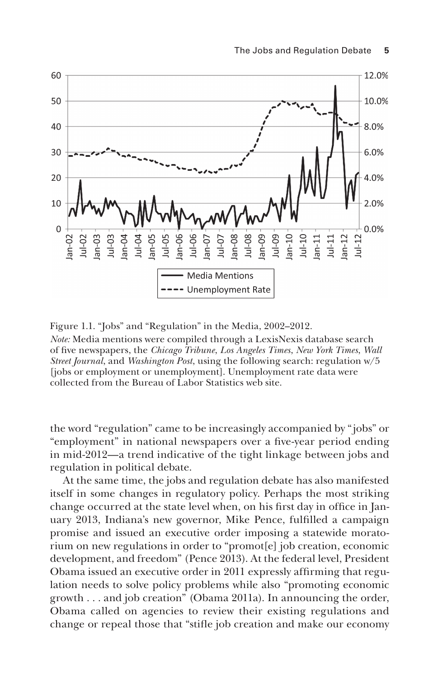

Figure 1.1. "Jobs" and "Regulation" in the Media, 2002-2012.

*Note:* Media mentions were compiled through a LexisNexis database search of fi ve newspapers, the *Chicago Tribune*, *Los Angeles Times*, *New York Times*, *Wall Street Journal*, and *Washington Post*, using the following search: regulation w/5 [jobs or employment or unemployment]. Unemployment rate data were collected from the Bureau of Labor Statistics web site.

the word "regulation" came to be increasingly accompanied by "jobs" or "employment" in national newspapers over a five-year period ending in mid- 2012—a trend indicative of the tight linkage between jobs and regulation in political debate.

At the same time, the jobs and regulation debate has also manifested itself in some changes in regulatory policy. Perhaps the most striking change occurred at the state level when, on his first day in office in January 2013, Indiana's new governor, Mike Pence, fulfilled a campaign promise and issued an executive order imposing a statewide moratorium on new regulations in order to "promot[e] job creation, economic development, and freedom" (Pence 2013). At the federal level, President Obama issued an executive order in 2011 expressly affirming that regulation needs to solve policy problems while also "promoting economic growth . . . and job creation" (Obama 2011a). In announcing the order, Obama called on agencies to review their existing regulations and change or repeal those that "stifle job creation and make our economy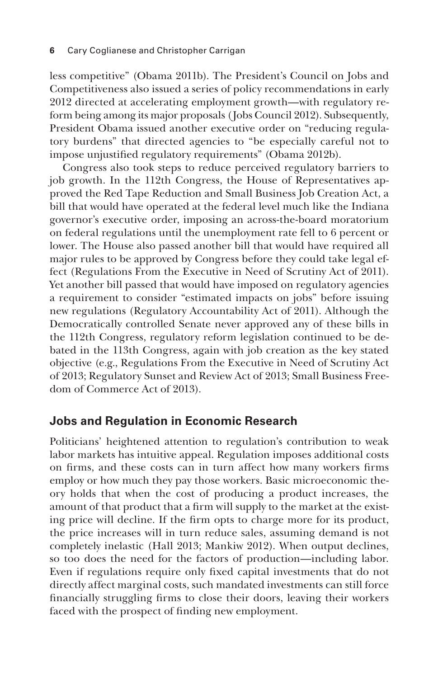less competitive" (Obama 2011b). The President's Council on Jobs and Competitiveness also issued a series of policy recommendations in early 2012 directed at accelerating employment growth— with regulatory reform being among its major proposals (Jobs Council 2012). Subsequently, President Obama issued another executive order on "reducing regulatory burdens" that directed agencies to "be especially careful not to impose unjustified regulatory requirements" (Obama 2012b).

Congress also took steps to reduce perceived regulatory barriers to job growth. In the 112th Congress, the House of Representatives approved the Red Tape Reduction and Small Business Job Creation Act, a bill that would have operated at the federal level much like the Indiana governor's executive order, imposing an across- the- board moratorium on federal regulations until the unemployment rate fell to 6 percent or lower. The House also passed another bill that would have required all major rules to be approved by Congress before they could take legal effect (Regulations From the Executive in Need of Scrutiny Act of 2011). Yet another bill passed that would have imposed on regulatory agencies a requirement to consider "estimated impacts on jobs" before issuing new regulations (Regulatory Accountability Act of 2011). Although the Democratically controlled Senate never approved any of these bills in the 112th Congress, regulatory reform legislation continued to be debated in the 113th Congress, again with job creation as the key stated objective (e.g., Regulations From the Executive in Need of Scrutiny Act of 2013; Regulatory Sunset and Review Act of 2013; Small Business Freedom of Commerce Act of 2013).

# **Jobs and Regulation in Economic Research**

Politicians' heightened attention to regulation's contribution to weak labor markets has intuitive appeal. Regulation imposes additional costs on firms, and these costs can in turn affect how many workers firms employ or how much they pay those workers. Basic microeconomic theory holds that when the cost of producing a product increases, the amount of that product that a firm will supply to the market at the existing price will decline. If the firm opts to charge more for its product, the price increases will in turn reduce sales, assuming demand is not completely inelastic (Hall 2013; Mankiw 2012). When output declines, so too does the need for the factors of production— including labor. Even if regulations require only fixed capital investments that do not directly affect marginal costs, such mandated investments can still force financially struggling firms to close their doors, leaving their workers faced with the prospect of finding new employment.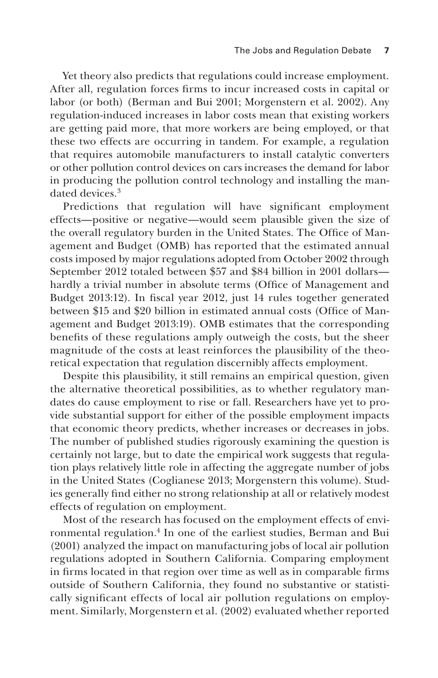Yet theory also predicts that regulations could increase employment. After all, regulation forces firms to incur increased costs in capital or labor (or both) (Berman and Bui 2001; Morgenstern et al. 2002). Any regulation- induced increases in labor costs mean that existing workers are getting paid more, that more workers are being employed, or that these two effects are occurring in tandem. For example, a regulation that requires automobile manufacturers to install catalytic converters or other pollution control devices on cars increases the demand for labor in producing the pollution control technology and installing the mandated devices.<sup>3</sup>

Predictions that regulation will have significant employment effects— positive or negative— would seem plausible given the size of the overall regulatory burden in the United States. The Office of Management and Budget (OMB) has reported that the estimated annual costs imposed by major regulations adopted from October 2002 through September 2012 totaled between \$57 and \$84 billion in 2001 dollars hardly a trivial number in absolute terms (Office of Management and Budget 2013:12). In fiscal year 2012, just 14 rules together generated between \$15 and \$20 billion in estimated annual costs (Office of Management and Budget 2013:19). OMB estimates that the corresponding benefits of these regulations amply outweigh the costs, but the sheer magnitude of the costs at least reinforces the plausibility of the theoretical expectation that regulation discernibly affects employment.

Despite this plausibility, it still remains an empirical question, given the alternative theoretical possibilities, as to whether regulatory mandates do cause employment to rise or fall. Researchers have yet to provide substantial support for either of the possible employment impacts that economic theory predicts, whether increases or decreases in jobs. The number of published studies rigorously examining the question is certainly not large, but to date the empirical work suggests that regulation plays relatively little role in affecting the aggregate number of jobs in the United States (Coglianese 2013; Morgenstern this volume). Studies generally find either no strong relationship at all or relatively modest effects of regulation on employment.

Most of the research has focused on the employment effects of environmental regulation.4 In one of the earliest studies, Berman and Bui (2001) analyzed the impact on manufacturing jobs of local air pollution regulations adopted in Southern California. Comparing employment in firms located in that region over time as well as in comparable firms outside of Southern California, they found no substantive or statistically significant effects of local air pollution regulations on employment. Similarly, Morgenstern et al. (2002) evaluated whether reported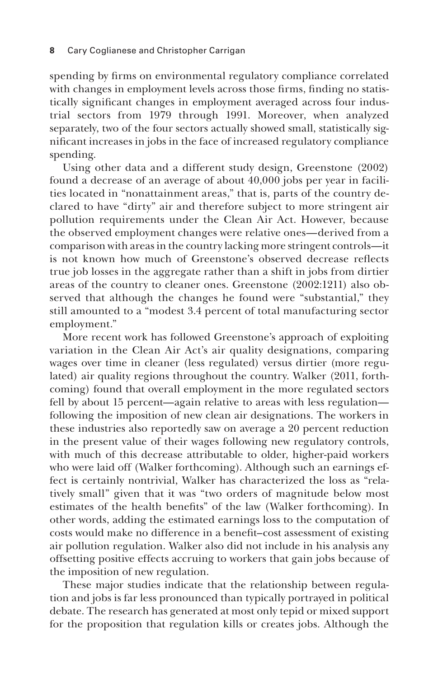spending by firms on environmental regulatory compliance correlated with changes in employment levels across those firms, finding no statistically significant changes in employment averaged across four industrial sectors from 1979 through 1991. Moreover, when analyzed separately, two of the four sectors actually showed small, statistically significant increases in jobs in the face of increased regulatory compliance spending.

Using other data and a different study design, Greenstone (2002) found a decrease of an average of about 40,000 jobs per year in facilities located in "nonattainment areas," that is, parts of the country declared to have "dirty" air and therefore subject to more stringent air pollution requirements under the Clean Air Act. However, because the observed employment changes were relative ones— derived from a comparison with areas in the country lacking more stringent controls— it is not known how much of Greenstone's observed decrease reflects true job losses in the aggregate rather than a shift in jobs from dirtier areas of the country to cleaner ones. Greenstone (2002:1211) also observed that although the changes he found were "substantial," they still amounted to a "modest 3.4 percent of total manufacturing sector employment."

More recent work has followed Greenstone's approach of exploiting variation in the Clean Air Act's air quality designations, comparing wages over time in cleaner (less regulated) versus dirtier (more regulated) air quality regions throughout the country. Walker (2011, forthcoming) found that overall employment in the more regulated sectors fell by about 15 percent—again relative to areas with less regulation following the imposition of new clean air designations. The workers in these industries also reportedly saw on average a 20 percent reduction in the present value of their wages following new regulatory controls, with much of this decrease attributable to older, higher-paid workers who were laid off (Walker forthcoming). Although such an earnings effect is certainly nontrivial, Walker has characterized the loss as "relatively small" given that it was "two orders of magnitude below most estimates of the health benefits" of the law (Walker forthcoming). In other words, adding the estimated earnings loss to the computation of costs would make no difference in a benefit-cost assessment of existing air pollution regulation. Walker also did not include in his analysis any offsetting positive effects accruing to workers that gain jobs because of the imposition of new regulation.

These major studies indicate that the relationship between regulation and jobs is far less pronounced than typically portrayed in political debate. The research has generated at most only tepid or mixed support for the proposition that regulation kills or creates jobs. Although the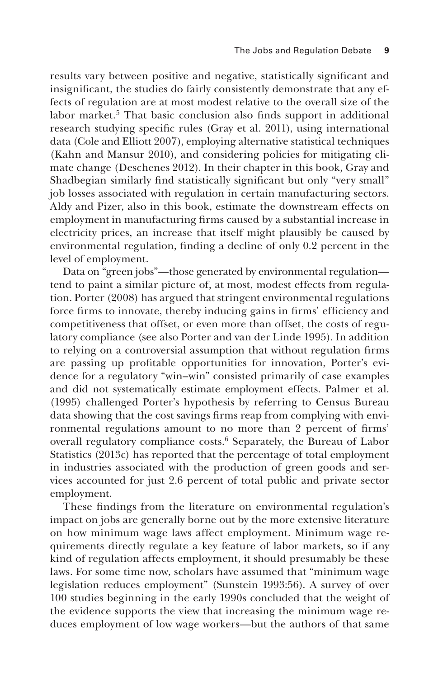results vary between positive and negative, statistically significant and insignificant, the studies do fairly consistently demonstrate that any effects of regulation are at most modest relative to the overall size of the labor market.<sup>5</sup> That basic conclusion also finds support in additional research studying specific rules (Gray et al. 2011), using international data (Cole and Elliott 2007), employing alternative statistical techniques (Kahn and Mansur 2010), and considering policies for mitigating climate change (Deschenes 2012). In their chapter in this book, Gray and Shadbegian similarly find statistically significant but only "very small" job losses associated with regulation in certain manufacturing sectors. Aldy and Pizer, also in this book, estimate the downstream effects on employment in manufacturing firms caused by a substantial increase in electricity prices, an increase that itself might plausibly be caused by environmental regulation, finding a decline of only 0.2 percent in the level of employment.

Data on "green jobs"— those generated by environmental regulation tend to paint a similar picture of, at most, modest effects from regulation. Porter (2008) has argued that stringent environmental regulations force firms to innovate, thereby inducing gains in firms' efficiency and competitiveness that offset, or even more than offset, the costs of regulatory compliance (see also Porter and van der Linde 1995). In addition to relying on a controversial assumption that without regulation firms are passing up profitable opportunities for innovation, Porter's evidence for a regulatory "win–win" consisted primarily of case examples and did not systematically estimate employment effects. Palmer et al. (1995) challenged Porter's hypothesis by referring to Census Bureau data showing that the cost savings firms reap from complying with environmental regulations amount to no more than 2 percent of firms' overall regulatory compliance costs.<sup>6</sup> Separately, the Bureau of Labor Statistics (2013c) has reported that the percentage of total employment in industries associated with the production of green goods and services accounted for just 2.6 percent of total public and private sector employment.

These findings from the literature on environmental regulation's impact on jobs are generally borne out by the more extensive literature on how minimum wage laws affect employment. Minimum wage requirements directly regulate a key feature of labor markets, so if any kind of regulation affects employment, it should presumably be these laws. For some time now, scholars have assumed that "minimum wage legislation reduces employment" (Sunstein 1993:56). A survey of over 100 studies beginning in the early 1990s concluded that the weight of the evidence supports the view that increasing the minimum wage reduces employment of low wage workers— but the authors of that same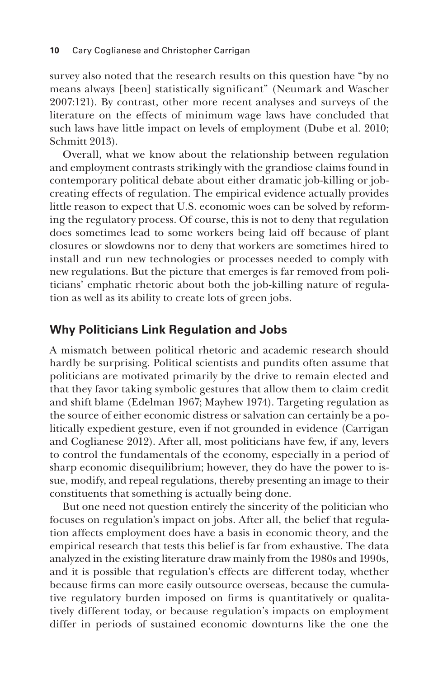survey also noted that the research results on this question have "by no means always [been] statistically significant" (Neumark and Wascher 2007:121). By contrast, other more recent analyses and surveys of the literature on the effects of minimum wage laws have concluded that such laws have little impact on levels of employment (Dube et al. 2010; Schmitt 2013).

Overall, what we know about the relationship between regulation and employment contrasts strikingly with the grandiose claims found in contemporary political debate about either dramatic job-killing or jobcreating effects of regulation. The empirical evidence actually provides little reason to expect that U.S. economic woes can be solved by reforming the regulatory process. Of course, this is not to deny that regulation does sometimes lead to some workers being laid off because of plant closures or slowdowns nor to deny that workers are sometimes hired to install and run new technologies or processes needed to comply with new regulations. But the picture that emerges is far removed from politicians' emphatic rhetoric about both the job-killing nature of regulation as well as its ability to create lots of green jobs.

# **Why Politicians Link Regulation and Jobs**

A mismatch between political rhetoric and academic research should hardly be surprising. Political scientists and pundits often assume that politicians are motivated primarily by the drive to remain elected and that they favor taking symbolic gestures that allow them to claim credit and shift blame (Edelman 1967; Mayhew 1974). Targeting regulation as the source of either economic distress or salvation can certainly be a politically expedient gesture, even if not grounded in evidence (Carrigan and Coglianese 2012). After all, most politicians have few, if any, levers to control the fundamentals of the economy, especially in a period of sharp economic disequilibrium; however, they do have the power to issue, modify, and repeal regulations, thereby presenting an image to their constituents that something is actually being done.

But one need not question entirely the sincerity of the politician who focuses on regulation's impact on jobs. After all, the belief that regulation affects employment does have a basis in economic theory, and the empirical research that tests this belief is far from exhaustive. The data analyzed in the existing literature draw mainly from the 1980s and 1990s, and it is possible that regulation's effects are different today, whether because firms can more easily outsource overseas, because the cumulative regulatory burden imposed on firms is quantitatively or qualitatively different today, or because regulation's impacts on employment differ in periods of sustained economic downturns like the one the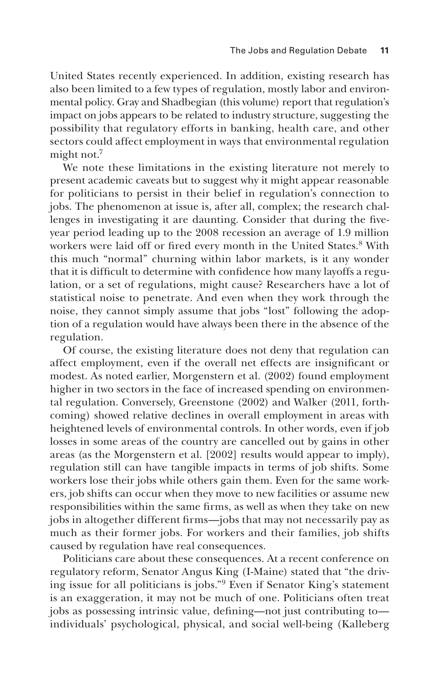United States recently experienced. In addition, existing research has also been limited to a few types of regulation, mostly labor and environmental policy. Gray and Shadbegian (this volume) report that regulation's impact on jobs appears to be related to industry structure, suggesting the possibility that regulatory efforts in banking, health care, and other sectors could affect employment in ways that environmental regulation might not.7

We note these limitations in the existing literature not merely to present academic caveats but to suggest why it might appear reasonable for politicians to persist in their belief in regulation's connection to jobs. The phenomenon at issue is, after all, complex; the research challenges in investigating it are daunting. Consider that during the fiveyear period leading up to the 2008 recession an average of 1.9 million workers were laid off or fired every month in the United States.<sup>8</sup> With this much "normal" churning within labor markets, is it any wonder that it is difficult to determine with confidence how many layoffs a regulation, or a set of regulations, might cause? Researchers have a lot of statistical noise to penetrate. And even when they work through the noise, they cannot simply assume that jobs "lost" following the adoption of a regulation would have always been there in the absence of the regulation.

Of course, the existing literature does not deny that regulation can affect employment, even if the overall net effects are insignificant or modest. As noted earlier, Morgenstern et al. (2002) found employment higher in two sectors in the face of increased spending on environmental regulation. Conversely, Greenstone (2002) and Walker (2011, forthcoming) showed relative declines in overall employment in areas with heightened levels of environmental controls. In other words, even if job losses in some areas of the country are cancelled out by gains in other areas (as the Morgenstern et al. [2002] results would appear to imply), regulation still can have tangible impacts in terms of job shifts. Some workers lose their jobs while others gain them. Even for the same workers, job shifts can occur when they move to new facilities or assume new responsibilities within the same firms, as well as when they take on new jobs in altogether different firms—jobs that may not necessarily pay as much as their former jobs. For workers and their families, job shifts caused by regulation have real consequences.

Politicians care about these consequences. At a recent conference on regulatory reform, Senator Angus King (I-Maine) stated that "the driving issue for all politicians is jobs."9 Even if Senator King's statement is an exaggeration, it may not be much of one. Politicians often treat jobs as possessing intrinsic value, defining—not just contributing to individuals' psychological, physical, and social well-being (Kalleberg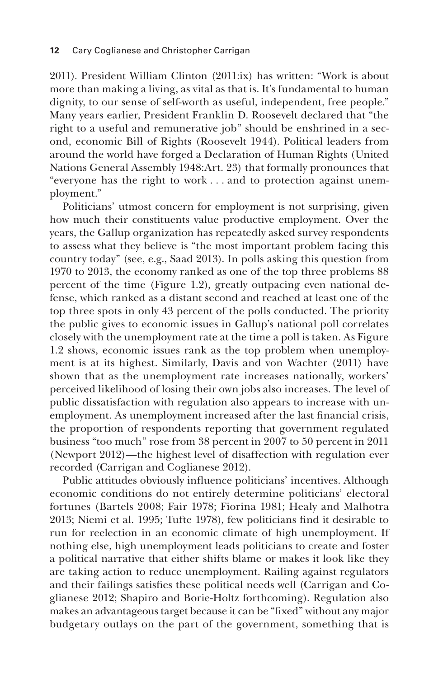2011). President William Clinton (2011:ix) has written: "Work is about more than making a living, as vital as that is. It's fundamental to human dignity, to our sense of self-worth as useful, independent, free people." Many years earlier, President Franklin D. Roosevelt declared that "the right to a useful and remunerative job" should be enshrined in a second, economic Bill of Rights (Roosevelt 1944). Political leaders from around the world have forged a Declaration of Human Rights (United Nations General Assembly 1948:Art. 23) that formally pronounces that "everyone has the right to work . . . and to protection against unemployment."

Politicians' utmost concern for employment is not surprising, given how much their constituents value productive employment. Over the years, the Gallup organization has repeatedly asked survey respondents to assess what they believe is "the most important problem facing this country today" (see, e.g., Saad 2013). In polls asking this question from 1970 to 2013, the economy ranked as one of the top three problems 88 percent of the time (Figure 1.2), greatly outpacing even national defense, which ranked as a distant second and reached at least one of the top three spots in only 43 percent of the polls conducted. The priority the public gives to economic issues in Gallup's national poll correlates closely with the unemployment rate at the time a poll is taken. As Figure 1.2 shows, economic issues rank as the top problem when unemployment is at its highest. Similarly, Davis and von Wachter (2011) have shown that as the unemployment rate increases nationally, workers' perceived likelihood of losing their own jobs also increases. The level of public dissatisfaction with regulation also appears to increase with unemployment. As unemployment increased after the last financial crisis, the proportion of respondents reporting that government regulated business "too much" rose from 38 percent in 2007 to 50 percent in 2011 (Newport 2012)— the highest level of disaffection with regulation ever recorded (Carrigan and Coglianese 2012).

Public attitudes obviously influence politicians' incentives. Although economic conditions do not entirely determine politicians' electoral fortunes (Bartels 2008; Fair 1978; Fiorina 1981; Healy and Malhotra 2013; Niemi et al. 1995; Tufte 1978), few politicians find it desirable to run for reelection in an economic climate of high unemployment. If nothing else, high unemployment leads politicians to create and foster a political narrative that either shifts blame or makes it look like they are taking action to reduce unemployment. Railing against regulators and their failings satisfies these political needs well (Carrigan and Coglianese 2012; Shapiro and Borie-Holtz forthcoming). Regulation also makes an advantageous target because it can be "fixed" without any major bud getary outlays on the part of the government, something that is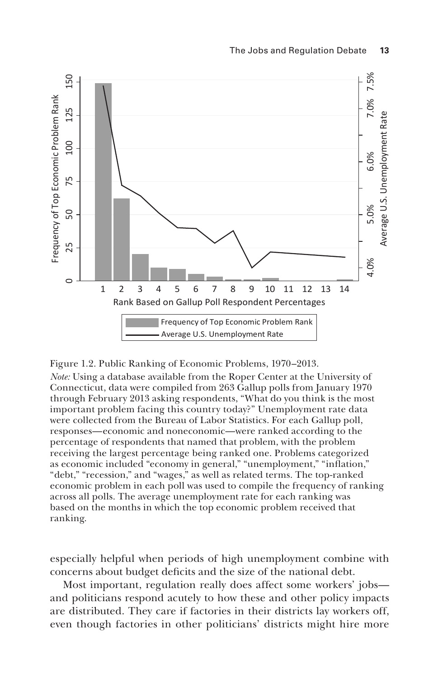



*Note:* Using a database available from the Roper Center at the University of Connecticut, data were compiled from 263 Gallup polls from January 1970 through February 2013 asking respondents, "What do you think is the most important problem facing this country today?" Unemployment rate data were collected from the Bureau of Labor Statistics. For each Gallup poll, responses— economic and noneconomic— were ranked according to the percentage of respondents that named that problem, with the problem receiving the largest percentage being ranked one. Problems categorized as economic included "economy in general," "unemployment," "inflation," "debt," "recession," and "wages," as well as related terms. The top-ranked economic problem in each poll was used to compile the frequency of ranking across all polls. The average unemployment rate for each ranking was based on the months in which the top economic problem received that ranking.

especially helpful when periods of high unemployment combine with concerns about budget deficits and the size of the national debt.

Most important, regulation really does affect some workers' jobs and politicians respond acutely to how these and other policy impacts are distributed. They care if factories in their districts lay workers off, even though factories in other politicians' districts might hire more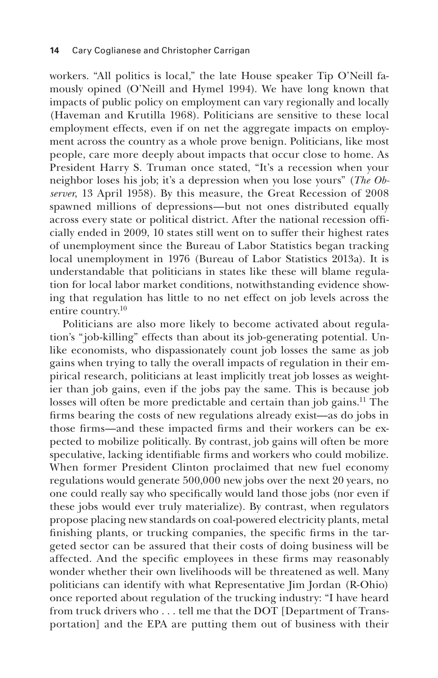workers. "All politics is local," the late House speaker Tip O'Neill famously opined (O'Neill and Hymel 1994). We have long known that impacts of public policy on employment can vary regionally and locally (Haveman and Krutilla 1968). Politicians are sensitive to these local employment effects, even if on net the aggregate impacts on employment across the country as a whole prove benign. Politicians, like most people, care more deeply about impacts that occur close to home. As President Harry S. Truman once stated, "It's a recession when your neighbor loses his job; it's a depression when you lose yours" (*The Observer*, 13 April 1958). By this measure, the Great Recession of 2008 spawned millions of depressions— but not ones distributed equally across every state or political district. After the national recession officially ended in 2009, 10 states still went on to suffer their highest rates of unemployment since the Bureau of Labor Statistics began tracking local unemployment in 1976 (Bureau of Labor Statistics 2013a). It is understandable that politicians in states like these will blame regulation for local labor market conditions, notwithstanding evidence showing that regulation has little to no net effect on job levels across the entire country.10

Politicians are also more likely to become activated about regulation's "job-killing" effects than about its job-generating potential. Unlike economists, who dispassionately count job losses the same as job gains when trying to tally the overall impacts of regulation in their empirical research, politicians at least implicitly treat job losses as weightier than job gains, even if the jobs pay the same. This is because job losses will often be more predictable and certain than job gains.<sup>11</sup> The firms bearing the costs of new regulations already exist—as do jobs in those firms—and these impacted firms and their workers can be expected to mobilize politically. By contrast, job gains will often be more speculative, lacking identifiable firms and workers who could mobilize. When former President Clinton proclaimed that new fuel economy regulations would generate 500,000 new jobs over the next 20 years, no one could really say who specifically would land those jobs (nor even if these jobs would ever truly materialize). By contrast, when regulators propose placing new standards on coal- powered electricity plants, metal finishing plants, or trucking companies, the specific firms in the targeted sector can be assured that their costs of doing business will be affected. And the specific employees in these firms may reasonably wonder whether their own livelihoods will be threatened as well. Many politicians can identify with what Representative Jim Jordan (R-Ohio) once reported about regulation of the trucking industry: "I have heard from truck drivers who . . . tell me that the DOT [Department of Transportation] and the EPA are putting them out of business with their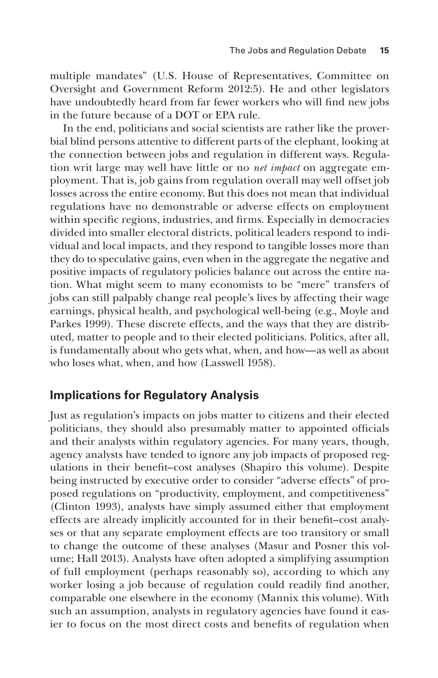multiple mandates" (U.S. House of Representatives, Committee on Oversight and Government Reform 2012:5). He and other legislators have undoubtedly heard from far fewer workers who will find new jobs in the future because of a DOT or EPA rule.

In the end, politicians and social scientists are rather like the proverbial blind persons attentive to different parts of the elephant, looking at the connection between jobs and regulation in different ways. Regulation writ large may well have little or no *net impact* on aggregate employment. That is, job gains from regulation overall may well offset job losses across the entire economy. But this does not mean that individual regulations have no demonstrable or adverse effects on employment within specific regions, industries, and firms. Especially in democracies divided into smaller electoral districts, political leaders respond to individual and local impacts, and they respond to tangible losses more than they do to speculative gains, even when in the aggregate the negative and positive impacts of regulatory policies balance out across the entire nation. What might seem to many economists to be "mere" transfers of jobs can still palpably change real people's lives by affecting their wage earnings, physical health, and psychological well-being (e.g., Moyle and Parkes 1999). These discrete effects, and the ways that they are distributed, matter to people and to their elected politicians. Politics, after all, is fundamentally about who gets what, when, and how—as well as about who loses what, when, and how (Lasswell 1958).

# **Implications for Regulatory Analysis**

Just as regulation's impacts on jobs matter to citizens and their elected politicians, they should also presumably matter to appointed officials and their analysts within regulatory agencies. For many years, though, agency analysts have tended to ignore any job impacts of proposed regulations in their benefit–cost analyses (Shapiro this volume). Despite being instructed by executive order to consider "adverse effects" of proposed regulations on "productivity, employment, and competitiveness" (Clinton 1993), analysts have simply assumed either that employment effects are already implicitly accounted for in their benefit-cost analyses or that any separate employment effects are too transitory or small to change the outcome of these analyses (Masur and Posner this volume; Hall 2013). Analysts have often adopted a simplifying assumption of full employment (perhaps reasonably so), according to which any worker losing a job because of regulation could readily find another, comparable one elsewhere in the economy (Mannix this volume). With such an assumption, analysts in regulatory agencies have found it easier to focus on the most direct costs and benefits of regulation when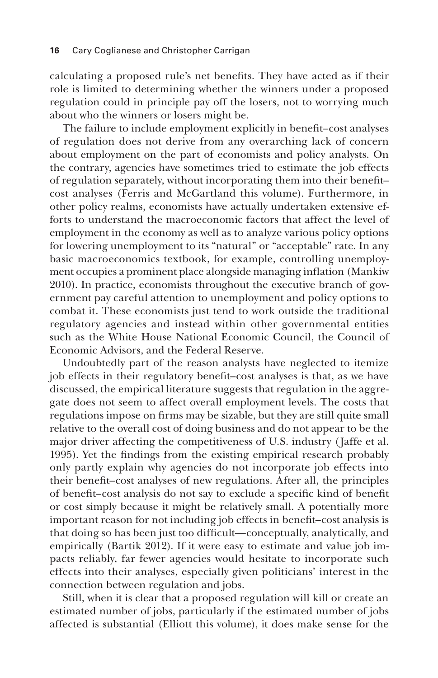calculating a proposed rule's net benefits. They have acted as if their role is limited to determining whether the winners under a proposed regulation could in principle pay off the losers, not to worrying much about who the winners or losers might be.

The failure to include employment explicitly in benefit-cost analyses of regulation does not derive from any overarching lack of concern about employment on the part of economists and policy analysts. On the contrary, agencies have sometimes tried to estimate the job effects of regulation separately, without incorporating them into their benefitcost analyses (Ferris and McGartland this volume). Furthermore, in other policy realms, economists have actually undertaken extensive efforts to understand the macroeconomic factors that affect the level of employment in the economy as well as to analyze various policy options for lowering unemployment to its "natural" or "acceptable" rate. In any basic macroeconomics textbook, for example, controlling unemployment occupies a prominent place alongside managing inflation (Mankiw 2010). In practice, economists throughout the executive branch of government pay careful attention to unemployment and policy options to combat it. These economists just tend to work outside the traditional regulatory agencies and instead within other governmental entities such as the White House National Economic Council, the Council of Economic Advisors, and the Federal Reserve.

Undoubtedly part of the reason analysts have neglected to itemize job effects in their regulatory benefit–cost analyses is that, as we have discussed, the empirical literature suggests that regulation in the aggregate does not seem to affect overall employment levels. The costs that regulations impose on firms may be sizable, but they are still quite small relative to the overall cost of doing business and do not appear to be the major driver affecting the competitiveness of U.S. industry (Jaffe et al. 1995). Yet the findings from the existing empirical research probably only partly explain why agencies do not incorporate job effects into their benefit–cost analyses of new regulations. After all, the principles of benefit-cost analysis do not say to exclude a specific kind of benefit or cost simply because it might be relatively small. A potentially more important reason for not including job effects in benefit-cost analysis is that doing so has been just too difficult—conceptually, analytically, and empirically (Bartik 2012). If it were easy to estimate and value job impacts reliably, far fewer agencies would hesitate to incorporate such effects into their analyses, especially given politicians' interest in the connection between regulation and jobs.

Still, when it is clear that a proposed regulation will kill or create an estimated number of jobs, particularly if the estimated number of jobs affected is substantial (Elliott this volume), it does make sense for the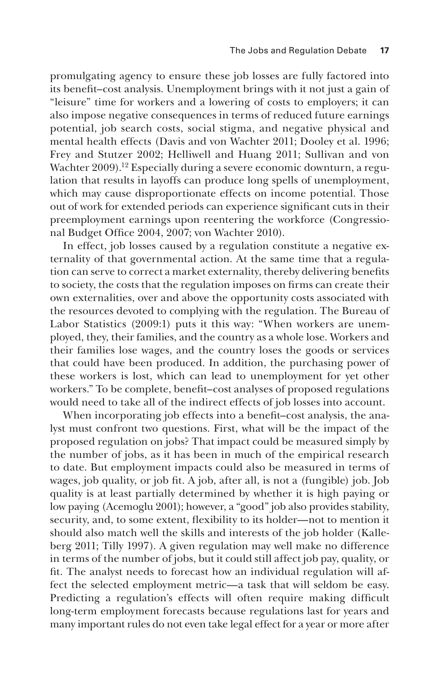promulgating agency to ensure these job losses are fully factored into its benefit-cost analysis. Unemployment brings with it not just a gain of "leisure" time for workers and a lowering of costs to employers; it can also impose negative consequences in terms of reduced future earnings potential, job search costs, social stigma, and negative physical and mental health effects (Davis and von Wachter 2011; Dooley et al. 1996; Frey and Stutzer 2002; Helliwell and Huang 2011; Sullivan and von Wachter 2009).<sup>12</sup> Especially during a severe economic downturn, a regulation that results in layoffs can produce long spells of unemployment, which may cause disproportionate effects on income potential. Those out of work for extended periods can experience significant cuts in their preemployment earnings upon reentering the workforce (Congressional Budget Office 2004, 2007; von Wachter 2010).

In effect, job losses caused by a regulation constitute a negative externality of that governmental action. At the same time that a regulation can serve to correct a market externality, thereby delivering benefits to society, the costs that the regulation imposes on firms can create their own externalities, over and above the opportunity costs associated with the resources devoted to complying with the regulation. The Bureau of Labor Statistics (2009:1) puts it this way: "When workers are unemployed, they, their families, and the country as a whole lose. Workers and their families lose wages, and the country loses the goods or services that could have been produced. In addition, the purchasing power of these workers is lost, which can lead to unemployment for yet other workers." To be complete, benefit–cost analyses of proposed regulations would need to take all of the indirect effects of job losses into account.

When incorporating job effects into a benefit–cost analysis, the analyst must confront two questions. First, what will be the impact of the proposed regulation on jobs? That impact could be measured simply by the number of jobs, as it has been in much of the empirical research to date. But employment impacts could also be measured in terms of wages, job quality, or job fit. A job, after all, is not a (fungible) job. Job quality is at least partially determined by whether it is high paying or low paying (Acemoglu 2001); however, a "good" job also provides stability, security, and, to some extent, flexibility to its holder—not to mention it should also match well the skills and interests of the job holder (Kalleberg 2011; Tilly 1997). A given regulation may well make no difference in terms of the number of jobs, but it could still affect job pay, quality, or fit. The analyst needs to forecast how an individual regulation will affect the selected employment metric— a task that will seldom be easy. Predicting a regulation's effects will often require making difficult long- term employment forecasts because regulations last for years and many important rules do not even take legal effect for a year or more after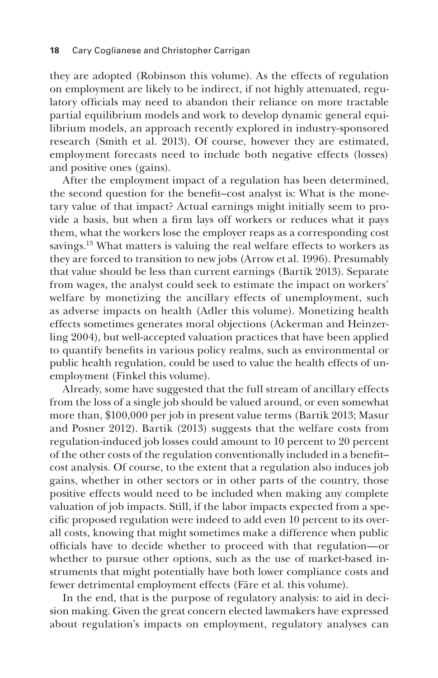they are adopted (Robinson this volume). As the effects of regulation on employment are likely to be indirect, if not highly attenuated, regulatory officials may need to abandon their reliance on more tractable partial equilibrium models and work to develop dynamic general equilibrium models, an approach recently explored in industry- sponsored research (Smith et al. 2013). Of course, however they are estimated, employment forecasts need to include both negative effects (losses) and positive ones (gains).

After the employment impact of a regulation has been determined, the second question for the benefit–cost analyst is: What is the monetary value of that impact? Actual earnings might initially seem to provide a basis, but when a firm lays off workers or reduces what it pays them, what the workers lose the employer reaps as a corresponding cost savings.<sup>13</sup> What matters is valuing the real welfare effects to workers as they are forced to transition to new jobs (Arrow et al. 1996). Presumably that value should be less than current earnings (Bartik 2013). Separate from wages, the analyst could seek to estimate the impact on workers' welfare by monetizing the ancillary effects of unemployment, such as adverse impacts on health (Adler this volume). Monetizing health effects sometimes generates moral objections (Ackerman and Heinzerling 2004), but well-accepted valuation practices that have been applied to quantify benefits in various policy realms, such as environmental or public health regulation, could be used to value the health effects of unemployment (Finkel this volume).

Already, some have suggested that the full stream of ancillary effects from the loss of a single job should be valued around, or even somewhat more than, \$100,000 per job in present value terms (Bartik 2013; Masur and Posner 2012). Bartik (2013) suggests that the welfare costs from regulation- induced job losses could amount to 10 percent to 20 percent of the other costs of the regulation conventionally included in a benefi t– cost analysis. Of course, to the extent that a regulation also induces job gains, whether in other sectors or in other parts of the country, those positive effects would need to be included when making any complete valuation of job impacts. Still, if the labor impacts expected from a specific proposed regulation were indeed to add even 10 percent to its overall costs, knowing that might sometimes make a difference when public officials have to decide whether to proceed with that regulation—or whether to pursue other options, such as the use of market-based instruments that might potentially have both lower compliance costs and fewer detrimental employment effects (Färe et al. this volume).

In the end, that is the purpose of regulatory analysis: to aid in decision making. Given the great concern elected lawmakers have expressed about regulation's impacts on employment, regulatory analyses can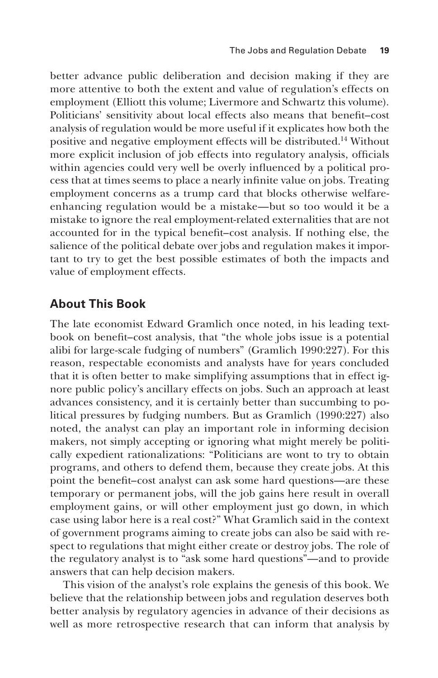better advance public deliberation and decision making if they are more attentive to both the extent and value of regulation's effects on employment (Elliott this volume; Livermore and Schwartz this volume). Politicians' sensitivity about local effects also means that benefit-cost analysis of regulation would be more useful if it explicates how both the positive and negative employment effects will be distributed.14 Without more explicit inclusion of job effects into regulatory analysis, officials within agencies could very well be overly influenced by a political process that at times seems to place a nearly infinite value on jobs. Treating employment concerns as a trump card that blocks otherwise welfareenhancing regulation would be a mistake— but so too would it be a mistake to ignore the real employment- related externalities that are not accounted for in the typical benefit-cost analysis. If nothing else, the salience of the political debate over jobs and regulation makes it important to try to get the best possible estimates of both the impacts and value of employment effects.

# **About This Book**

The late economist Edward Gramlich once noted, in his leading textbook on benefit-cost analysis, that "the whole jobs issue is a potential alibi for large- scale fudging of numbers" (Gramlich 1990:227). For this reason, respectable economists and analysts have for years concluded that it is often better to make simplifying assumptions that in effect ignore public policy's ancillary effects on jobs. Such an approach at least advances consistency, and it is certainly better than succumbing to political pressures by fudging numbers. But as Gramlich (1990:227) also noted, the analyst can play an important role in informing decision makers, not simply accepting or ignoring what might merely be politically expedient rationalizations: "Politicians are wont to try to obtain programs, and others to defend them, because they create jobs. At this point the benefit–cost analyst can ask some hard questions—are these temporary or permanent jobs, will the job gains here result in overall employment gains, or will other employment just go down, in which case using labor here is a real cost?" What Gramlich said in the context of government programs aiming to create jobs can also be said with respect to regulations that might either create or destroy jobs. The role of the regulatory analyst is to "ask some hard questions"— and to provide answers that can help decision makers.

This vision of the analyst's role explains the genesis of this book. We believe that the relationship between jobs and regulation deserves both better analysis by regulatory agencies in advance of their decisions as well as more retrospective research that can inform that analysis by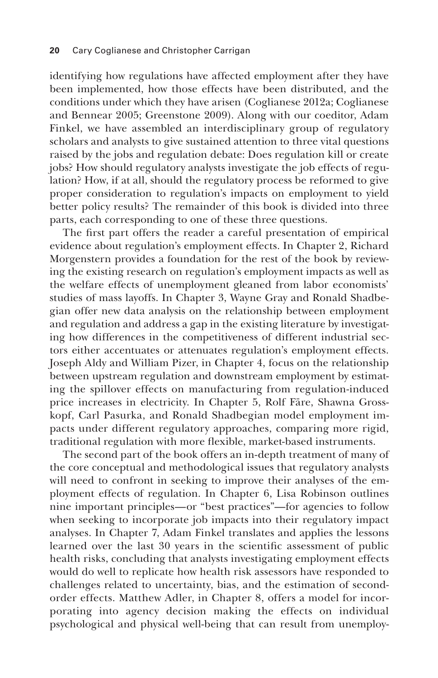identifying how regulations have affected employment after they have been implemented, how those effects have been distributed, and the conditions under which they have arisen (Coglianese 2012a; Coglianese and Bennear 2005; Greenstone 2009). Along with our coeditor, Adam Finkel, we have assembled an interdisciplinary group of regulatory scholars and analysts to give sustained attention to three vital questions raised by the jobs and regulation debate: Does regulation kill or create jobs? How should regulatory analysts investigate the job effects of regulation? How, if at all, should the regulatory process be reformed to give proper consideration to regulation's impacts on employment to yield better policy results? The remainder of this book is divided into three parts, each corresponding to one of these three questions.

The first part offers the reader a careful presentation of empirical evidence about regulation's employment effects. In Chapter 2, Richard Morgenstern provides a foundation for the rest of the book by reviewing the existing research on regulation's employment impacts as well as the welfare effects of unemployment gleaned from labor economists' studies of mass layoffs. In Chapter 3, Wayne Gray and Ronald Shadbegian offer new data analysis on the relationship between employment and regulation and address a gap in the existing literature by investigating how differences in the competitiveness of different industrial sectors either accentuates or attenuates regulation's employment effects. Joseph Aldy and William Pizer, in Chapter 4, focus on the relationship between upstream regulation and downstream employment by estimating the spillover effects on manufacturing from regulation-induced price increases in electricity. In Chapter 5, Rolf Färe, Shawna Grosskopf, Carl Pasurka, and Ronald Shadbegian model employment impacts under different regulatory approaches, comparing more rigid, traditional regulation with more flexible, market-based instruments.

The second part of the book offers an in- depth treatment of many of the core conceptual and methodological issues that regulatory analysts will need to confront in seeking to improve their analyses of the employment effects of regulation. In Chapter 6, Lisa Robinson outlines nine important principles— or "best practices"— for agencies to follow when seeking to incorporate job impacts into their regulatory impact analyses. In Chapter 7, Adam Finkel translates and applies the lessons learned over the last 30 years in the scientific assessment of public health risks, concluding that analysts investigating employment effects would do well to replicate how health risk assessors have responded to challenges related to uncertainty, bias, and the estimation of secondorder effects. Matthew Adler, in Chapter 8, offers a model for incorporating into agency decision making the effects on individual psychological and physical well-being that can result from unemploy-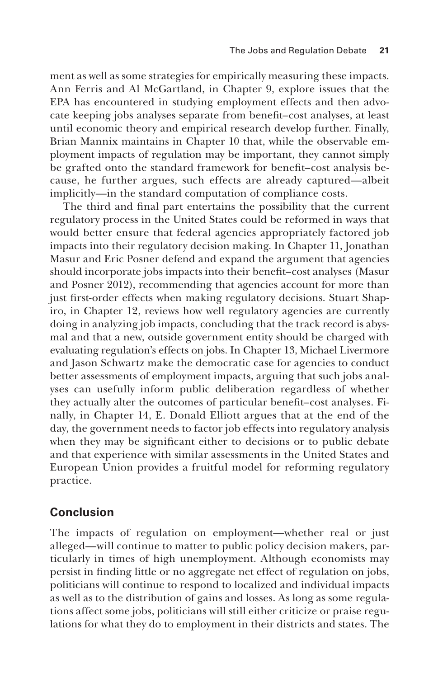ment as well as some strategies for empirically measuring these impacts. Ann Ferris and Al McGartland, in Chapter 9, explore issues that the EPA has encountered in studying employment effects and then advocate keeping jobs analyses separate from benefit-cost analyses, at least until economic theory and empirical research develop further. Finally, Brian Mannix maintains in Chapter 10 that, while the observable employment impacts of regulation may be important, they cannot simply be grafted onto the standard framework for benefit-cost analysis because, he further argues, such effects are already captured— albeit implicitly— in the standard computation of compliance costs.

The third and final part entertains the possibility that the current regulatory process in the United States could be reformed in ways that would better ensure that federal agencies appropriately factored job impacts into their regulatory decision making. In Chapter 11, Jonathan Masur and Eric Posner defend and expand the argument that agencies should incorporate jobs impacts into their benefit-cost analyses (Masur and Posner 2012), recommending that agencies account for more than just first-order effects when making regulatory decisions. Stuart Shapiro, in Chapter 12, reviews how well regulatory agencies are currently doing in analyzing job impacts, concluding that the track record is abysmal and that a new, outside government entity should be charged with evaluating regulation's effects on jobs. In Chapter 13, Michael Livermore and Jason Schwartz make the democratic case for agencies to conduct better assessments of employment impacts, arguing that such jobs analyses can usefully inform public deliberation regardless of whether they actually alter the outcomes of particular benefit-cost analyses. Finally, in Chapter 14, E. Donald Elliott argues that at the end of the day, the government needs to factor job effects into regulatory analysis when they may be significant either to decisions or to public debate and that experience with similar assessments in the United States and European Union provides a fruitful model for reforming regulatory practice.

# **Conclusion**

The impacts of regulation on employment—whether real or just alleged— will continue to matter to public policy decision makers, particularly in times of high unemployment. Although economists may persist in finding little or no aggregate net effect of regulation on jobs, politicians will continue to respond to localized and individual impacts as well as to the distribution of gains and losses. As long as some regulations affect some jobs, politicians will still either criticize or praise regulations for what they do to employment in their districts and states. The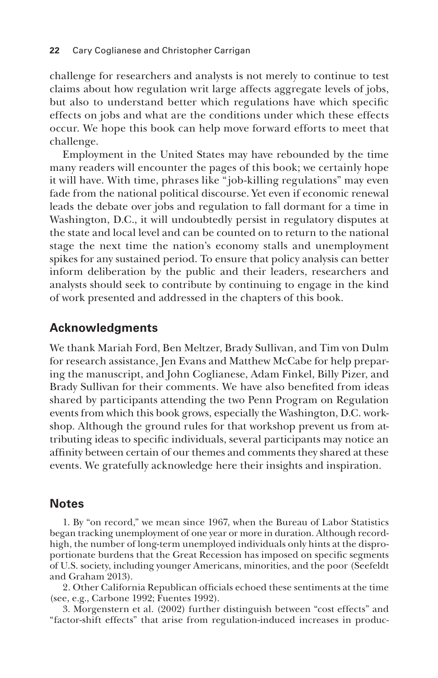challenge for researchers and analysts is not merely to continue to test claims about how regulation writ large affects aggregate levels of jobs, but also to understand better which regulations have which specific effects on jobs and what are the conditions under which these effects occur. We hope this book can help move forward efforts to meet that challenge.

Employment in the United States may have rebounded by the time many readers will encounter the pages of this book; we certainly hope it will have. With time, phrases like "job-killing regulations" may even fade from the national political discourse. Yet even if economic renewal leads the debate over jobs and regulation to fall dormant for a time in Washington, D.C., it will undoubtedly persist in regulatory disputes at the state and local level and can be counted on to return to the national stage the next time the nation's economy stalls and unemployment spikes for any sustained period. To ensure that policy analysis can better inform deliberation by the public and their leaders, researchers and analysts should seek to contribute by continuing to engage in the kind of work presented and addressed in the chapters of this book.

# **Ac know ledg ments**

We thank Mariah Ford, Ben Meltzer, Brady Sullivan, and Tim von Dulm for research assistance, Jen Evans and Matthew McCabe for help preparing the manuscript, and John Coglianese, Adam Finkel, Billy Pizer, and Brady Sullivan for their comments. We have also benefited from ideas shared by participants attending the two Penn Program on Regulation events from which this book grows, especially the Washington, D.C. workshop. Although the ground rules for that workshop prevent us from attributing ideas to specific individuals, several participants may notice an affinity between certain of our themes and comments they shared at these events. We gratefully acknowledge here their insights and inspiration.

#### **Notes**

1. By "on record," we mean since 1967, when the Bureau of Labor Statistics began tracking unemployment of one year or more in duration. Although recordhigh, the number of long-term unemployed individuals only hints at the disproportionate burdens that the Great Recession has imposed on specific segments of U.S. society, including younger Americans, minorities, and the poor (Seefeldt and Graham 2013).

2. Other California Republican officials echoed these sentiments at the time (see, e.g., Carbone 1992; Fuentes 1992).

3. Morgenstern et al. (2002) further distinguish between "cost effects" and "factor- shift effects" that arise from regulation- induced increases in produc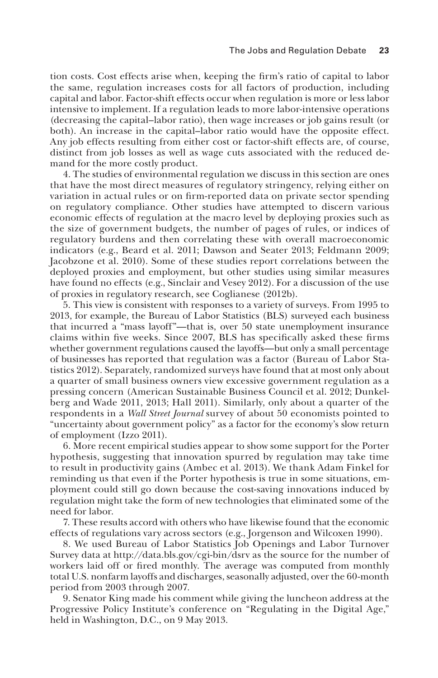tion costs. Cost effects arise when, keeping the firm's ratio of capital to labor the same, regulation increases costs for all factors of production, including capital and labor. Factor- shift effects occur when regulation is more or less labor intensive to implement. If a regulation leads to more labor- intensive operations (decreasing the capital– labor ratio), then wage increases or job gains result (or both). An increase in the capital–labor ratio would have the opposite effect. Any job effects resulting from either cost or factor- shift effects are, of course, distinct from job losses as well as wage cuts associated with the reduced demand for the more costly product.

4. The studies of environmental regulation we discuss in this section are ones that have the most direct measures of regulatory stringency, relying either on variation in actual rules or on firm-reported data on private sector spending on regulatory compliance. Other studies have attempted to discern various economic effects of regulation at the macro level by deploying proxies such as the size of government budgets, the number of pages of rules, or indices of regulatory burdens and then correlating these with overall macroeconomic indicators (e.g., Beard et al. 2011; Dawson and Seater 2013; Feldmann 2009; Jacobzone et al. 2010). Some of these studies report correlations between the deployed proxies and employment, but other studies using similar measures have found no effects (e.g., Sinclair and Vesey 2012). For a discussion of the use of proxies in regulatory research, see Coglianese (2012b).

5. This view is consistent with responses to a variety of surveys. From 1995 to 2013, for example, the Bureau of Labor Statistics (BLS) surveyed each business that incurred a "mass layoff"— that is, over 50 state unemployment insurance claims within five weeks. Since 2007, BLS has specifically asked these firms whether government regulations caused the layoffs— but only a small percentage of businesses has reported that regulation was a factor (Bureau of Labor Statistics 2012). Separately, randomized surveys have found that at most only about a quarter of small business owners view excessive government regulation as a pressing concern (American Sustainable Business Council et al. 2012; Dunkelberg and Wade 2011, 2013; Hall 2011). Similarly, only about a quarter of the respondents in a *Wall Street Journal* survey of about 50 economists pointed to "uncertainty about government policy" as a factor for the economy's slow return of employment (Izzo 2011).

6. More recent empirical studies appear to show some support for the Porter hypothesis, suggesting that innovation spurred by regulation may take time to result in productivity gains (Ambec et al. 2013). We thank Adam Finkel for reminding us that even if the Porter hypothesis is true in some situations, employment could still go down because the cost-saving innovations induced by regulation might take the form of new technologies that eliminated some of the need for labor.

7. These results accord with others who have likewise found that the economic effects of regulations vary across sectors (e.g., Jorgenson and Wilcoxen 1990).

8. We used Bureau of Labor Statistics Job Openings and Labor Turnover Survey data at http://data.bls.gov/cgi-bin/dsrv as the source for the number of workers laid off or fired monthly. The average was computed from monthly total U.S. nonfarm layoffs and discharges, seasonally adjusted, over the 60-month period from 2003 through 2007.

9. Senator King made his comment while giving the luncheon address at the Progressive Policy Institute's conference on "Regulating in the Digital Age," held in Washington, D.C., on 9 May 2013.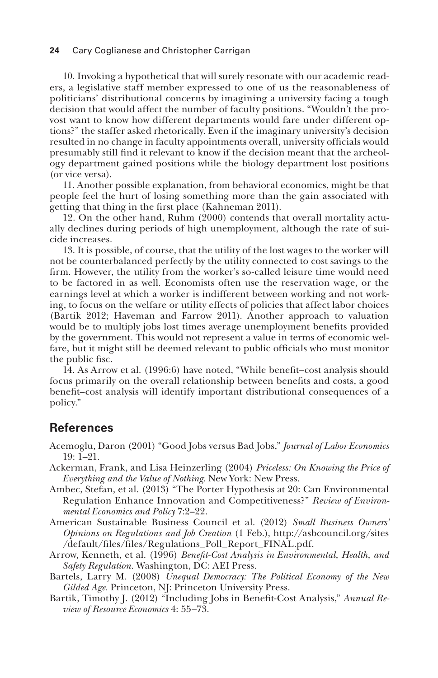#### **24** Cary Coglianese and Christopher Carrigan

10. Invoking a hypothetical that will surely resonate with our academic readers, a legislative staff member expressed to one of us the reasonableness of politicians' distributional concerns by imagining a university facing a tough decision that would affect the number of faculty positions. "Wouldn't the provost want to know how different departments would fare under different options?" the staffer asked rhetorically. Even if the imaginary university's decision resulted in no change in faculty appointments overall, university officials would presumably still find it relevant to know if the decision meant that the archeology department gained positions while the biology department lost positions (or vice versa).

11. Another possible explanation, from behavioral economics, might be that people feel the hurt of losing something more than the gain associated with getting that thing in the first place (Kahneman 2011).

12. On the other hand, Ruhm (2000) contends that overall mortality actually declines during periods of high unemployment, although the rate of suicide increases.

13. It is possible, of course, that the utility of the lost wages to the worker will not be counterbalanced perfectly by the utility connected to cost savings to the firm. However, the utility from the worker's so-called leisure time would need to be factored in as well. Economists often use the reservation wage, or the earnings level at which a worker is indifferent between working and not working, to focus on the welfare or utility effects of policies that affect labor choices (Bartik 2012; Haveman and Farrow 2011). Another approach to valuation would be to multiply jobs lost times average unemployment benefits provided by the government. This would not represent a value in terms of economic welfare, but it might still be deemed relevant to public officials who must monitor the public fisc.

14. As Arrow et al. (1996:6) have noted, "While benefit-cost analysis should focus primarily on the overall relationship between benefits and costs, a good benefit–cost analysis will identify important distributional consequences of a policy."

#### **References**

- Acemoglu, Daron (2001) "Good Jobs versus Bad Jobs," *Journal of Labor Economics*  $19: 1 - 21.$
- Ackerman, Frank, and Lisa Heinzerling (2004) *Priceless: On Knowing the Price of Everything and the Value of Nothing*. New York: New Press.
- Ambec, Stefan, et al. (2013) "The Porter Hypothesis at 20: Can Environmental Regulation Enhance Innovation and Competitiveness?" *Review of Environmental Economics and Policy* 7:2–22.
- American Sustainable Business Council et al. (2012) *Small Business Owners' Opinions on Regulations and Job Creation* (1 Feb.), http://asbcouncil.org/sites /default/files/files/Regulations\_Poll\_Report\_FINAL.pdf.
- Arrow, Kenneth, et al. (1996) *Benefi t- Cost Analysis in Environmental, Health, and Safety Regulation*. Washington, DC: AEI Press.
- Bartels, Larry M. (2008) *Unequal Democracy: The Political Economy of the New* Gilded Age. Princeton, NJ: Princeton University Press.
- Bartik, Timothy J. (2012) "Including Jobs in Benefit-Cost Analysis," *Annual Review of Resource Economics* 4: 55– 73.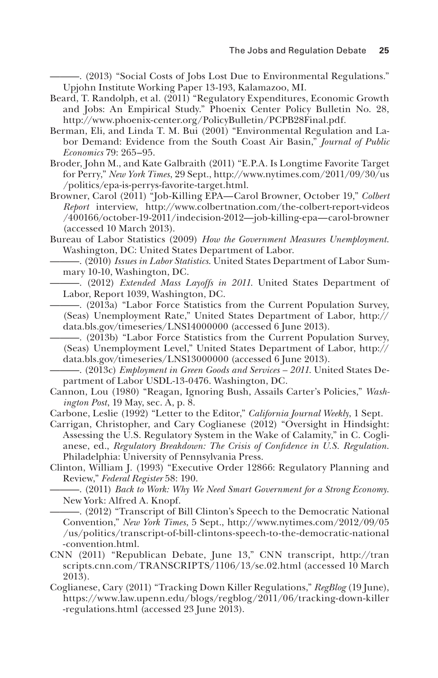———. (2013) "Social Costs of Jobs Lost Due to Environmental Regulations." Upjohn Institute Working Paper 13- 193, Kalamazoo, MI.

- Beard, T. Randolph, et al. (2011) "Regulatory Expenditures, Economic Growth and Jobs: An Empirical Study." Phoenix Center Policy Bulletin No. 28, http://www.phoenix-center.org/PolicyBulletin/PCPB28Final.pdf.
- Berman, Eli, and Linda T. M. Bui (2001) "Environmental Regulation and Labor Demand: Evidence from the South Coast Air Basin," *Journal of Public Economics* 79: 265– 95.
- Broder, John M., and Kate Galbraith (2011) "E.P.A. Is Longtime Favorite Target for Perry," *New York Times*, 29 Sept., http://www.nytimes.com/2011/09/30/us /politics /epa -is -perrys -favorite -target .html .
- Browner, Carol (2011) "Job- Killing EPA— Carol Browner, October 19," *Colbert Report* interview, http://www.colbertnation.com/the-colbert-report-videos /400166/october-19-2011/indecision-2012—job-killing-epa—carol-browner (accessed 10 March 2013).
- Bureau of Labor Statistics (2009) *How the Government Measures Unemployment*. Washington, DC: United States Department of Labor.
	- ———. (2010) *Issues in Labor Statistics*. United States Department of Labor Summary 10-10, Washington, DC.
	- ———. (2012) *Extended Mass Layoffs in 2011*. United States Department of Labor, Report 1039, Washington, DC.
		- ———. (2013a) "Labor Force Statistics from the Current Population Survey, (Seas) Unemployment Rate," United States Department of Labor, http:// data.bls.gov/timeseries/LNS14000000 (accessed 6 June 2013).

———. (2013b) "Labor Force Statistics from the Current Population Survey, (Seas) Unemployment Level," United States Department of Labor, http:// data.bls.gov/timeseries/LNS13000000 (accessed 6 June 2013).

———. (2013c) *Employment in Green Goods and Ser vices – 2011*. United States Department of Labor USDL-13-0476. Washington, DC.

- Cannon, Lou (1980) "Reagan, Ignoring Bush, Assails Carter's Policies," *Washington Post*, 19 May, sec. A, p. 8.
- Carbone, Leslie (1992) "Letter to the Editor," *California Journal Weekly*, 1 Sept.
- Carrigan, Christopher, and Cary Coglianese (2012) "Oversight in Hindsight: Assessing the U.S. Regulatory System in the Wake of Calamity," in C. Coglianese, ed., *Regulatory Breakdown: The Crisis of Confidence in U.S. Regulation.* Philadelphia: University of Pennsylvania Press.
- Clinton, William J. (1993) "Executive Order 12866: Regulatory Planning and Review," *Federal Register* 58: 190.

———. (2011) *Back to Work: Why We Need Smart Government for a Strong Economy*. New York: Alfred A. Knopf.

- —. (2012) "Transcript of Bill Clinton's Speech to the Democratic National Convention," *New York Times*, 5 Sept., http:// www .nytimes .com /2012 /09 /05 / us /politics /transcript -of -bill -clintons -speech -to -the -democratic -national -convention.html.
- CNN (2011) "Republican Debate, June 13," CNN transcript, http://tran scripts.cnn.com/TRANSCRIPTS/1106/13/se.02.html (accessed 10 March 2013).
- Coglianese, Cary (2011) "Tracking Down Killer Regulations," *RegBlog* (19 June), https:// www.law.upenn.edu/blogs/regblog/2011/06/tracking- down- killer - regulations.html (accessed 23 June 2013).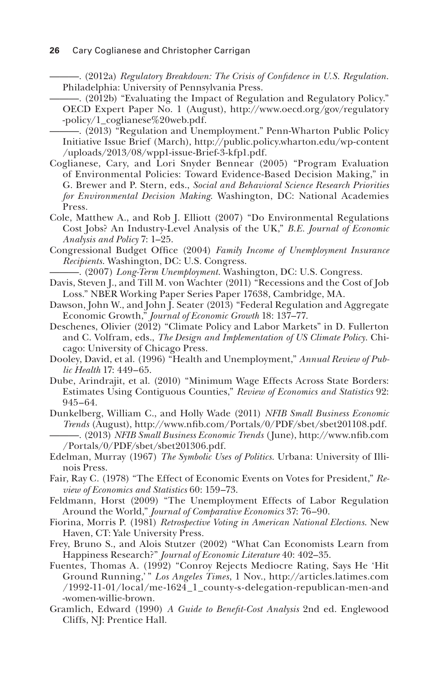———. (2012a) *Regulatory Breakdown: The Crisis of Confi dence in U.S. Regulation*. Philadelphia: University of Pennsylvania Press.

———. (2012b) "Evaluating the Impact of Regulation and Regulatory Policy." OECD Expert Paper No. 1 (August), http://www.oecd.org/gov/regulatory -policy/1\_coglianese%20web.pdf.

———. (2013) "Regulation and Unemployment." Penn-Wharton Public Policy Initiative Issue Brief (March), http://public.policy.wharton.edu/wp-content /uploads/2013/08/wpp1-issue-Brief-3-kfp1.pdf.

- Coglianese, Cary, and Lori Snyder Bennear (2005) "Program Evaluation of Environmental Policies: Toward Evidence- Based Decision Making," in G. Brewer and P. Stern, eds., *Social and Behavioral Science Research Priorities for Environmental Decision Making*. Washington, DC: National Academies Press.
- Cole, Matthew A., and Rob J. Elliott (2007) "Do Environmental Regulations Cost Jobs? An Industry- Level Analysis of the UK," *B.E. Journal of Economic*  Analysis and Policy 7: 1-25.
- Congressional Budget Office (2004) *Family Income of Unemployment Insurance Recipients*. Washington, DC: U.S. Congress.

———. (2007) *Long- Term Unemployment*. Washington, DC: U.S. Congress.

- Davis, Steven J., and Till M. von Wachter (2011) "Recessions and the Cost of Job Loss." NBER Working Paper Series Paper 17638, Cambridge, MA.
- Dawson, John W., and John J. Seater (2013) "Federal Regulation and Aggregate Economic Growth," *Journal of Economic Growth* 18: 137-77.
- Deschenes, Olivier (2012) "Climate Policy and Labor Markets" in D. Fullerton and C. Volfram, eds., *The Design and Implementation of US Climate Policy*. Chicago: University of Chicago Press.
- Dooley, David, et al. (1996) "Health and Unemployment," *Annual Review of Public Health* 17: 449–65.
- Dube, Arindrajit, et al. (2010) "Minimum Wage Effects Across State Borders: Estimates Using Contiguous Counties," *Review of Economics and Statistics* 92: 945– 64.
- Dunkelberg, William C., and Holly Wade (2011) *NFIB Small Business Economic Trends* (August), http://www.nfib.com/Portals/0/PDF/sbet/sbet201108.pdf.
	- ———. (2013) *NFIB Small Business Economic Trends* (June), http:// www .nfi b .com /Portals/0/PDF/sbet/sbet201306.pdf.
- Edelman, Murray (1967) *The Symbolic Uses of Politics*. Urbana: University of Illinois Press.
- Fair, Ray C. (1978) "The Effect of Economic Events on Votes for President," *Review of Economics and Statistics* 60: 159– 73.
- Feldmann, Horst (2009) "The Unemployment Effects of Labor Regulation Around the World," *Journal of Comparative Economics* 37: 76-90.
- Fiorina, Morris P. (1981) *Retrospective Voting in American National Elections*. New Haven, CT: Yale University Press.
- Frey, Bruno S., and Alois Stutzer (2002) "What Can Economists Learn from Happiness Research?" *Journal of Economic Literature* 40: 402-35.
- Fuentes, Thomas A. (1992) "Conroy Rejects Mediocre Rating, Says He 'Hit Ground Running,' " *Los Angeles Times*, 1 Nov., http:// articles .latimes .com /1992 -11 -01 /local /me -1624 \_1 \_county -s -delegation -republican -men -and -women -willie -brown .
- Gramlich, Edward (1990) *A Guide to Benefi t- Cost Analysis* 2nd ed. Englewood Cliffs, NJ: Prentice Hall.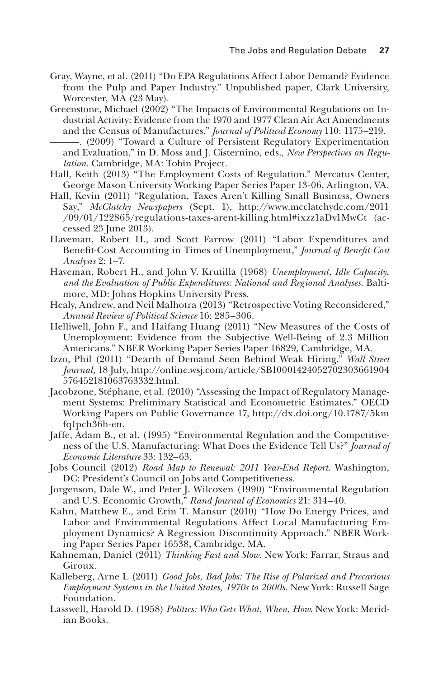- Gray, Wayne, et al. (2011) "Do EPA Regulations Affect Labor Demand? Evidence from the Pulp and Paper Industry." Unpublished paper, Clark University, Worcester, MA (23 May).
- Greenstone, Michael (2002) "The Impacts of Environmental Regulations on Industrial Activity: Evidence from the 1970 and 1977 Clean Air Act Amendments and the Census of Manufactures," *Journal of Political Economy* 110: 1175-219.

 $-$ . (2009) "Toward a Culture of Persistent Regulatory Experimentation and Evaluation," in D. Moss and J. Cisternino, eds., *New Perspectives on Regulation*. Cambridge, MA: Tobin Project.

- Hall, Keith (2013) "The Employment Costs of Regulation." Mercatus Center, George Mason University Working Paper Series Paper 13-06, Arlington, VA.
- Hall, Kevin (2011) "Regulation, Taxes Aren't Killing Small Business, Owners Say," *McClatchy Newspapers* (Sept. 1), http:// www.mcclatchydc.com/2011 /09/01/122865/regulations- taxes- arent- killing.html#ixzz1aDv1MwCt (accessed 23 June 2013).
- Haveman, Robert H., and Scott Farrow (2011) "Labor Expenditures and Benefit-Cost Accounting in Times of Unemployment," *Journal of Benefit-Cost Analysis* 2: 1– 7.
- Haveman, Robert H., and John V. Krutilla (1968) *Unemployment, Idle Capacity, and the Evaluation of Public Expenditures: National and Regional Analyses*. Baltimore, MD: Johns Hopkins University Press.
- Healy, Andrew, and Neil Malhotra (2013) "Retrospective Voting Reconsidered," *Annual Review of Political Science* 16: 285-306.
- Helliwell, John F., and Haifang Huang (2011) "New Measures of the Costs of Unemployment: Evidence from the Subjective Well-Being of 2.3 Million Americans." NBER Working Paper Series Paper 16829, Cambridge, MA.
- Izzo, Phil (2011) "Dearth of Demand Seen Behind Weak Hiring," *Wall Street Journal,* 18 July, http:// online .wsj .com /article /SB10001424052702303661904 576452181063763332 .html .
- Jacobzone, Stéphane, et al. (2010) "Assessing the Impact of Regulatory Management Systems: Preliminary Statistical and Econometric Estimates." OECD Working Papers on Public Governance 17, http:// dx .doi .org /10 .1787 /5km fq1pch36h-en.
- Jaffe, Adam B., et al. (1995) "Environmental Regulation and the Competitiveness of the U.S. Manufacturing: What Does the Evidence Tell Us?" *Journal of Economic Literature* 33: 132– 63.
- Jobs Council (2012) *Road Map to Renewal: 2011 Year-End Report*. Washington, DC: President's Council on Jobs and Competitiveness.
- Jorgenson, Dale W., and Peter J. Wilcoxen (1990) "Environmental Regulation and U.S. Economic Growth," Rand Journal of Economics 21: 314-40.
- Kahn, Matthew E., and Erin T. Mansur (2010) "How Do Energy Prices, and Labor and Environmental Regulations Affect Local Manufacturing Employment Dynamics? A Regression Discontinuity Approach." NBER Working Paper Series Paper 16538, Cambridge, MA.
- Kahneman, Daniel (2011) *Thinking Fast and Slow*. New York: Farrar, Straus and Giroux.
- Kalleberg, Arne L (2011) *Good Jobs, Bad Jobs: The Rise of Polarized and Precarious Employment Systems in the United States, 1970s to 2000s*. New York: Russell Sage Foundation.
- Lasswell, Harold D. (1958) *Politics: Who Gets What, When, How*. New York: Meridian Books.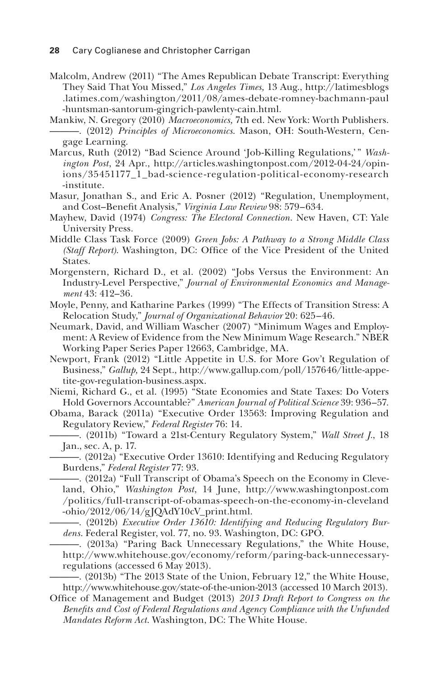- Malcolm, Andrew (2011) "The Ames Republican Debate Transcript: Everything They Said That You Missed," *Los Angeles Times,* 13 Aug., http:// latimesblogs .latimes .com /washington /2011 /08 /ames -debate -romney -bachmann -paul -huntsman -santorum -gingrich -pawlenty -cain .html .
- Mankiw, N. Gregory (2010) *Macroeconomics,* 7th ed. New York: Worth Publishers. ———. (2012) *Principles of Microeconomics*. Mason, OH: South- Western, Cengage Learning.
- Marcus, Ruth (2012) "Bad Science Around 'Job- Killing Regulations,' " *Washington Post*, 24 Apr., http://articles.washingtonpost.com/2012-04-24/opinions /35451177 \_1 \_bad -science -regulation -political -economy -research -institute .
- Masur, Jonathan S., and Eric A. Posner (2012) "Regulation, Unemployment, and Cost-Benefit Analysis," *Virginia Law Review* 98: 579-634.
- Mayhew, David (1974) *Congress: The Electoral Connection*. New Haven, CT: Yale University Press.
- Middle Class Task Force (2009) *Green Jobs: A Pathway to a Strong Middle Class (Staff Report)*. Washington, DC: Office of the Vice President of the United States.
- Morgenstern, Richard D., et al. (2002) "Jobs Versus the Environment: An Industry- Level Perspective," *Journal of Environmental Economics and Manage*ment 43: 412-36.
- Moyle, Penny, and Katharine Parkes (1999) "The Effects of Transition Stress: A Relocation Study," *Journal of Organizational Behavior* 20: 625-46.
- Neumark, David, and William Wascher (2007) "Minimum Wages and Employment: A Review of Evidence from the New Minimum Wage Research." NBER Working Paper Series Paper 12663, Cambridge, MA.
- Newport, Frank (2012) "Little Appetite in U.S. for More Gov't Regulation of Business," *Gallup*, 24 Sept., http://www.gallup.com/poll/157646/little-appetite -gov -regulation -business .aspx .
- Niemi, Richard G., et al. (1995) "State Economies and State Taxes: Do Voters Hold Governors Accountable?" American Journal of Political Science 39: 936-57.
- Obama, Barack (2011a) "Executive Order 13563: Improving Regulation and Regulatory Review," *Federal Register* 76: 14.
	- (2011b) "Toward a 21st-Century Regulatory System," *Wall Street J.*, 18 Jan., sec. A, p. 17.
	- ———. (2012a) "Executive Order 13610: Identifying and Reducing Regulatory Burdens," *Federal Register* 77: 93.
	- ———. (2012a) "Full Transcript of Obama's Speech on the Economy in Cleveland, Ohio," *Washington Post*, 14 June, http:// www .washingtonpost .com / politics /full -transcript -of -obamas -speech -on -the -economy -in -cleveland  $-ohio/2012/06/14/gJQAdY10cV_print.html.$
	- ———. (2012b) *Executive Order 13610: Identifying and Reducing Regulatory Burdens*. Federal Register, vol. 77, no. 93. Washington, DC: GPO.
	- ———. (2013a) "Paring Back Unnecessary Regulations," the White House, http://www.whitehouse.gov/economy/reform/paring-back-unnecessaryregulations (accessed 6 May 2013).

———. (2013b) "The 2013 State of the Union, February 12," the White House, http://www.whitehouse.gov/state-of-the-union-2013 (accessed 10 March 2013).

Office of Management and Budget (2013) *2013 Draft Report to Congress on the* Benefits and Cost of Federal Regulations and Agency Compliance with the Unfunded *Mandates Reform Act*. Washington, DC: The White House.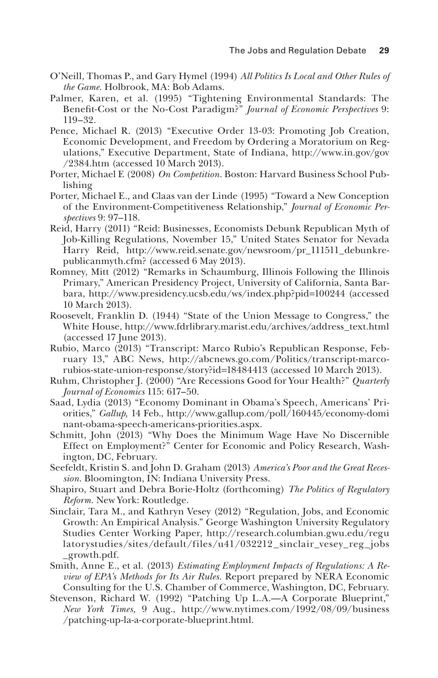- O'Neill, Thomas P., and Gary Hymel (1994) *All Politics Is Local and Other Rules of the Game*. Holbrook, MA: Bob Adams.
- Palmer, Karen, et al. (1995) "Tightening Environmental Standards: The Benefit-Cost or the No-Cost Paradigm?" *Journal of Economic Perspectives* 9: 119– 32.
- Pence, Michael R. (2013) "Executive Order 13-03: Promoting Job Creation, Economic Development, and Freedom by Ordering a Moratorium on Regulations," Executive Department, State of Indiana, http:// www.in.gov/gov /2384.htm (accessed 10 March 2013).
- Porter, Michael E (2008) *On Competition*. Boston: Harvard Business School Publishing
- Porter, Michael E., and Claas van der Linde (1995) "Toward a New Conception of the Environment- Competitiveness Relationship," *Journal of Economic Perspectives* 9: 97– 118.
- Reid, Harry (2011) "Reid: Businesses, Economists Debunk Republican Myth of Job- Killing Regulations, November 15," United States Senator for Nevada Harry Reid, http:// www.reid.senate.gov/newsroom/pr\_111511\_debunkrepublicanmyth.cfm? (accessed 6 May 2013).
- Romney, Mitt (2012) "Remarks in Schaumburg, Illinois Following the Illinois Primary," American Presidency Project, University of California, Santa Barbara, http:// www.presidency.ucsb.edu/ws/index.php?pid=100244 (accessed 10 March 2013).
- Roosevelt, Franklin D. (1944) "State of the Union Message to Congress," the White House, http:// www.fdrlibrary.marist.edu/archives/address\_text.html (accessed 17 June 2013).
- Rubio, Marco (2013) "Transcript: Marco Rubio's Republican Response, February 13," ABC News, http://abcnews.go.com/Politics/transcript- marcorubios-state-union-response/story?id=18484413 (accessed 10 March 2013).
- Ruhm, Christopher J. (2000) "Are Recessions Good for Your Health?" *Quarterly Journal of Economics* 115: 617–50.
- Saad, Lydia (2013) "Economy Dominant in Obama's Speech, Americans' Priorities," *Gallup,* 14 Feb., http:// www .gallup .com /poll /160445 /economy -domi nant -obama -speech -americans -priorities .aspx .
- Schmitt, John (2013) "Why Does the Minimum Wage Have No Discernible Effect on Employment?" Center for Economic and Policy Research, Washington, DC, February.
- Seefeldt, Kristin S. and John D. Graham (2013) *America's Poor and the Great Recession*. Bloomington, IN: Indiana University Press.
- Shapiro, Stuart and Debra Borie-Holtz (forthcoming) *The Politics of Regulatory Reform*. New York: Routledge.
- Sinclair, Tara M., and Kathryn Vesey (2012) "Regulation, Jobs, and Economic Growth: An Empirical Analysis." George Washington University Regulatory Studies Center Working Paper, http:// research .columbian .gwu .edu /regu latorystudies /sites /default /files /u41 /032212 \_sinclair \_vesey \_reg \_jobs \_ growth .pdf .
- Smith, Anne E., et al. (2013) *Estimating Employment Impacts of Regulations: A Review of EPA's Methods for Its Air Rules*. Report prepared by NERA Economic Consulting for the U.S. Chamber of Commerce, Washington, DC, February.
- Stevenson, Richard W. (1992) "Patching Up L.A.— A Corporate Blueprint," *New York Times,* 9 Aug., http://www.nytimes.com/1992/08/09/business /patching-up-la-a-corporate-blueprint.html.